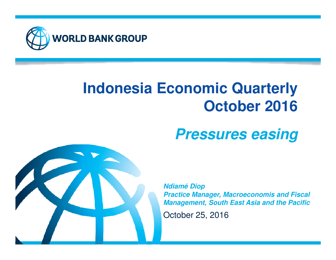

# **Indonesia Economic QuarterlyOctober 2016**

# **Pressures easing**



**Ndiamé Diop Practice Manager, Macroeconomis and Fiscal Management, South East Asia and the Pacific**

October 25, 2016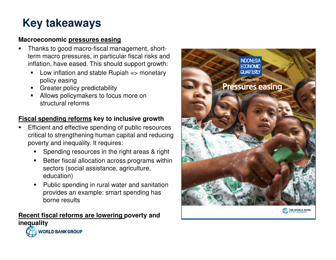# **Key takeaways**

#### **Macroeconomic pressures easing**

- Thanks to good macro-fiscal management, short-■ term macro pressures, in particular fiscal risks and inflation, have eased. This should support growth:
	- Low inflation and stable Rupiah => monetary policy easing
	- **Greater policy predictability**
	- Allows policymakers to focus more on structural reforms

### **Fiscal spending reforms key to inclusive growth**

- Efficient and effective spending of public resources critical to strengthening human capital and reducing poverty and inequality. It requires:
	- Spending resources in the right areas & right
	- $\blacksquare$  Better fiscal allocation across programs within sectors (social assistance, agriculture, education)
	- $\blacksquare$  Public spending in rural water and sanitation provides an example: smart spending has borne results

### **Recent fiscal reforms are lowering poverty and inequality**

**WORLD BANK GROUP** 

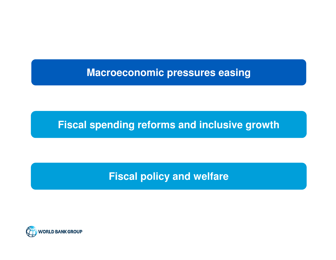## **Macroeconomic pressures easing**

### **Fiscal spending reforms and inclusive growth**

## **Fiscal policy and welfare**

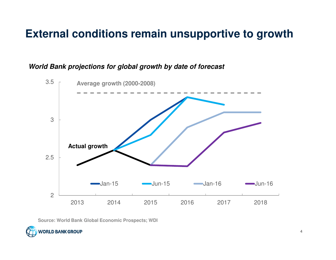## **External conditions remain unsupportive to growth**

#### **World Bank projections for global growth by date of forecast**



**Source: World Bank Global Economic Prospects; WDI**

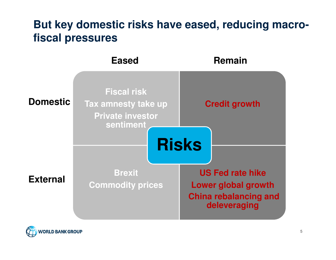## **But key domestic risks have eased, reducing macrofiscal pressures**

|                 | <b>Eased</b>                                                                      | <b>Remain</b>                                                                                                         |
|-----------------|-----------------------------------------------------------------------------------|-----------------------------------------------------------------------------------------------------------------------|
| <b>Domestic</b> | <b>Fiscal risk</b><br>Tax amnesty take up<br><b>Private investor</b><br>sentiment | <b>Credit growth</b>                                                                                                  |
| <b>External</b> | <b>Brexit</b><br><b>Commodity prices</b>                                          | <b>Risks</b><br><b>US Fed rate hike</b><br><b>Lower global growth</b><br><b>China rebalancing and</b><br>deleveraging |

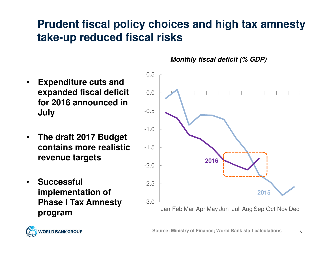# **Prudent fiscal policy choices and high tax amnesty take-up reduced fiscal risks**

- • **Expenditure cuts and expanded fiscal deficit for 2016 announced in July**
- • **The draft 2017 Budget contains more realistic revenue targets**
- • **Successful implementation of Phase I Tax Amnesty program**

**Monthly fiscal deficit (% GDP)**



**Source: Ministry of Finance; World Bank staff calculationss** 6

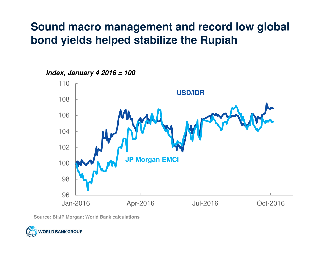## **Sound macro management and record low global bond yields helped stabilize the Rupiah**



**Index, January 4 2016 = 100**

**Source: BI;JP Morgan; World Bank calculations**

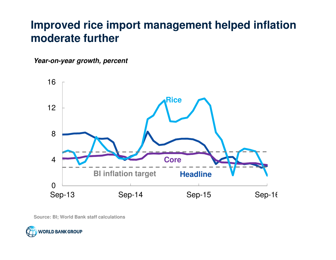## **Improved rice import management helped inflation moderate further**

**Year-on-year growth, percent**



**Source: BI; World Bank staff calculations** 

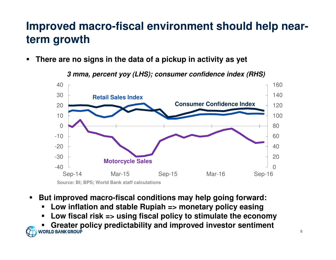# **Improved macro-fiscal environment should help nearterm growth**

■ **There are no signs in the data of a pickup in activity as yet**

**3 mma, percent yoy (LHS); consumer confidence index (RHS)**



- $\blacksquare$  **But improved macro-fiscal conditions may help going forward:**
	- **Low inflation and stable Rupiah => monetary policy easing**
	- **Low fiscal risk => using fiscal policy to stimulate the economy** $\blacksquare$
- **Greater policy predictability and improved investor sentiment** ■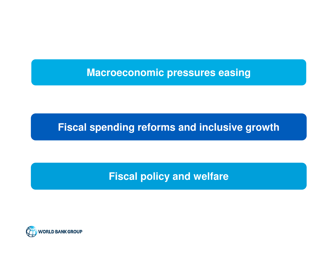## **Macroeconomic pressures easing**

## **Fiscal spending reforms and inclusive growth**

## **Fiscal policy and welfare**

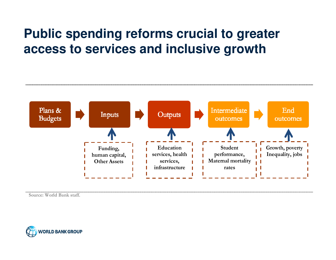# **Public spending reforms crucial to greater access to services and inclusive growth**



**Source: World Bank staff.** 

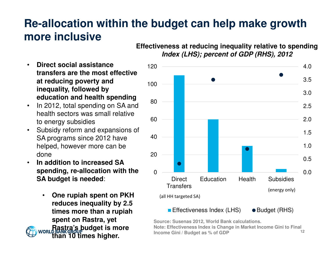## **Re-allocation within the budget can help make growth more inclusive**

**Effectiveness at reducing inequality relative to spendingIndex (LHS); percent of GDP (RHS), 2012** 

- • **Direct social assistance transfers are the most effective at reducing poverty and inequality, followed by education and health spending**
- In 2012, total spending on SA and  $\bullet$ health sectors was small relative to energy subsidies
- $\bullet$  Subsidy reform and expansions of SA programs since 2012 have helped, however more can be done
- **In addition to increased SA**  •**spending, re-allocation with the SA budget is needed**:
	- • **One rupiah spent on PKH reduces inequality by 2.5 times more than a rupiah spent on Rastra, yet Rastra's budget is more than 10 times higher.**



12 **Source: Susenas 2012, World Bank calculations. Note: Effectiveness Index is Change in Market Income Gini to Final Income Gini / Budget as % of GDP**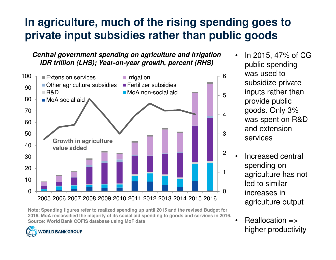# **In agriculture, much of the rising spending goes toprivate input subsidies rather than public goods**

**Central government spending on agriculture and irrigationIDR trillion (LHS); Year-on-year growth, percent (RHS)**



**Note: Spending figures refer to realized spending up until 2015 and the revised Budget for 2016. MoA reclassified the majority of its social aid spending to goods and services in 2016.Source: World Bank COFIS database using MoF data**



- • In 2015, 47% of CG public spending was used to subsidize private inputs rather than provide public goods. Only 3% was spent on R&D and extension services
- • Increased central spending on agriculture has not led to similar increases in agriculture output
- higher productivity •Reallocation =>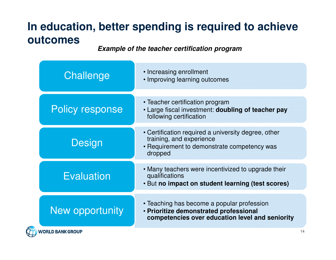# **In education, better spending is required to achieve outcomes**

**Example of the teacher certification program** 

| Challenge               | • Increasing enrollment<br>• Improving learning outcomes                                                                                  |  |
|-------------------------|-------------------------------------------------------------------------------------------------------------------------------------------|--|
| <b>Policy response</b>  | • Teacher certification program<br>• Large fiscal investment: doubling of teacher pay<br>following certification                          |  |
| Design                  | • Certification required a university degree, other<br>training, and experience<br>• Requirement to demonstrate competency was<br>dropped |  |
| Evaluation              | • Many teachers were incentivized to upgrade their<br>qualifications<br>. But no impact on student learning (test scores)                 |  |
| New opportunity         | • Teaching has become a popular profession<br>· Prioritize demonstrated professional<br>competencies over education level and seniority   |  |
| <b>WORLD BANK GROUP</b> |                                                                                                                                           |  |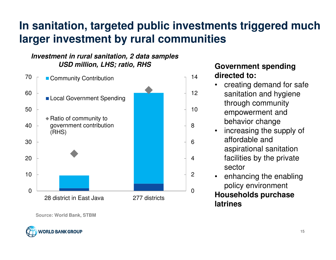# **In sanitation, targeted public investments triggered much larger investment by rural communities**

### **Investment in rural sanitation, 2 data samplesUSD million, LHS; ratio, RHS**



**Source: World Bank, STBM**



### **Government spending directed to:**

- • creating demand for safe sanitation and hygienethrough community empowerment and behavior change
- increasing the supply of •affordable and aspirational sanitation facilities by the private sector
- enhancing the enabling •policy environment

### **Households purchase latrines**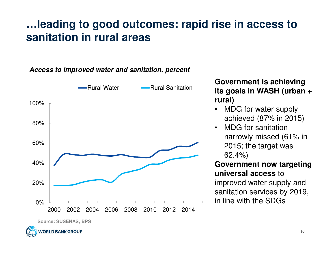## **…leading to good outcomes: rapid rise in access to sanitation in rural areas**

### **Access to improved water and sanitation, percent**



**VORLD BANK GROUP** 

**Government is achieving its goals in WASH (urban + rural)**

- • MDG for water supply achieved (87% in 2015)
- • MDG for sanitation narrowly missed (61% in 2015; the target was 62.4%)

### **Government now targeting universal access** to improved water supply and

 sanitation services by 2019, in line with the SDGs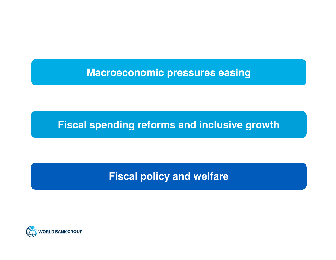## **Macroeconomic pressures easing**

## **Fiscal spending reforms and inclusive growth**

## **Fiscal policy and welfare**

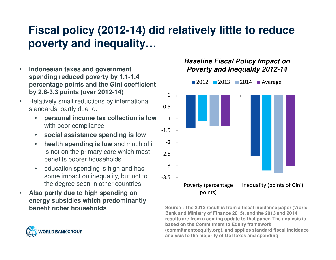# **Fiscal policy (2012-14) did relatively little to reduce poverty and inequality…**

- • **Indonesian taxes and government spending reduced poverty by 1.1-1.4 percentage points and the Gini coefficient by 2.6-3.3 points (over 2012-14)**
- • Relatively small reductions by international standards, partly due to:
	- • **personal income tax collection is low**  with poor compliance
	- **social assistance spending is low**•
	- **health spending is low** and much of it •is not on the primary care which most benefits poorer households
	- • education spending is high and has some impact on inequality, but not to the degree seen in other countries
- • **Also partly due to high spending on energy subsidies which predominantly benefit richer households**.



#### **Baseline Fiscal Policy Impact on Poverty and Inequality 2012-14**



 **Source : The 2012 result is from a fiscal incidence paper (World Bank and Ministry of Finance 2015), and the 2013 and 2014 results are from a coming update to that paper. The analysis is based on the Commitment to Equity framework (commitmentoequity.org), and applies standard fiscal incidence analysis to the majority of GoI taxes and spending**